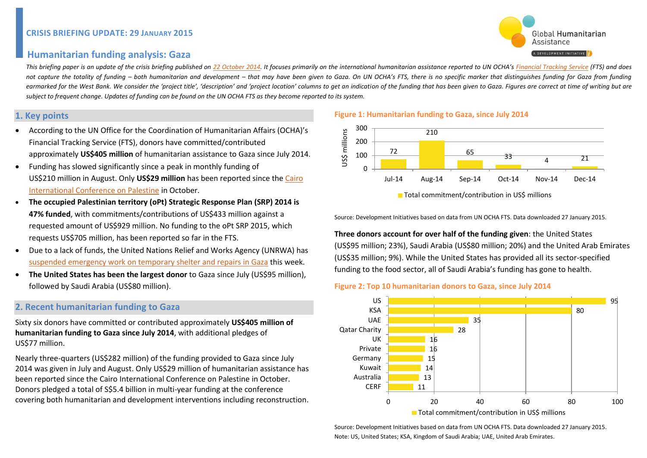# **Humanitarian funding analysis: Gaza**

This briefing paper is an update of the crisis briefing published on 22 October 2014. It focuses primarily on the international humanitarian assistance reported to UN OCHA's Financial Tracking Service (FTS) and does not capture the totality of funding – both humanitarian and development – that may have been aiven to Gaza. On UN OCHA's FTS, there is no specific marker that distinauishes funding for Gaza from funding earmarked for the West Bank. We consider the 'project title', 'description' and 'project location' columns to get an indication of the funding that has been given to Gaza. Figures are correct at time of writing but are *subject to frequent change. Updates of funding can be found on the UN OCHA FTS as they become reported to its system.*

## **1. Key points**

- According to the UN Office for the Coordination of Humanitarian Affairs (OCHA)'s Financial Tracking Service (FTS), donors have committed/contributed approximately **US\$405 million** of humanitarian assistance to Gaza since July 2014.
- Funding has slowed significantly since a peak in monthly funding of US\$210 million in August. Only **US\$29 million** has been reported since the [Cairo](http://www.mfa.gov.eg/gazaconference/default_en.html)  [International Conference on Palestine](http://www.mfa.gov.eg/gazaconference/default_en.html) in October.
- **The occupied Palestinian territory (oPt) Strategic Response Plan (SRP) 2014 is 47% funded**, with commitments/contributions of US\$433 million against a requested amount of US\$929 million. No funding to the oPt SRP 2015, which requests US\$705 million, has been reported so far in the FTS.
- Due to a lack of funds, the United Nations Relief and Works Agency (UNRWA) has suspended [emergency work on temporary shelter and repairs in Gaza](http://www.unrwa.org/newsroom/press-releases/lack-funds-forces-unrwa-suspend-cash-assistance-repairs-damaged-and) this week.
- **The United States has been the largest donor** to Gaza since July (US\$95 million), followed by Saudi Arabia (US\$80 million).

# **2. Recent humanitarian funding to Gaza**

Sixty six donors have committed or contributed approximately **US\$405 million of humanitarian funding to Gaza since July 2014**, with additional pledges of US\$77 million.

Nearly three-quarters (US\$282 million) of the funding provided to Gaza since July 2014 was given in July and August. Only US\$29 million of humanitarian assistance has been reported since the Cairo International Conference on Palestine in October. Donors pledged a total of S\$5.4 billion in multi-year funding at the conference covering both humanitarian and development interventions including reconstruction.

#### **Figure 1: Humanitarian funding to Gaza, since July 2014**



■ Total commitment/contribution in US\$ millions

Source: Development Initiatives based on data from UN OCHA FTS. Data downloaded 27 January 2015.

**Three donors account for over half of the funding given**: the United States (US\$95 million; 23%), Saudi Arabia (US\$80 million; 20%) and the United Arab Emirates (US\$35 million; 9%). While the United States has provided all its sector-specified funding to the food sector, all of Saudi Arabia's funding has gone to health.





Source: Development Initiatives based on data from UN OCHA FTS. Data downloaded 27 January 2015. Note: US, United States; KSA, Kingdom of Saudi Arabia; UAE, United Arab Emirates.

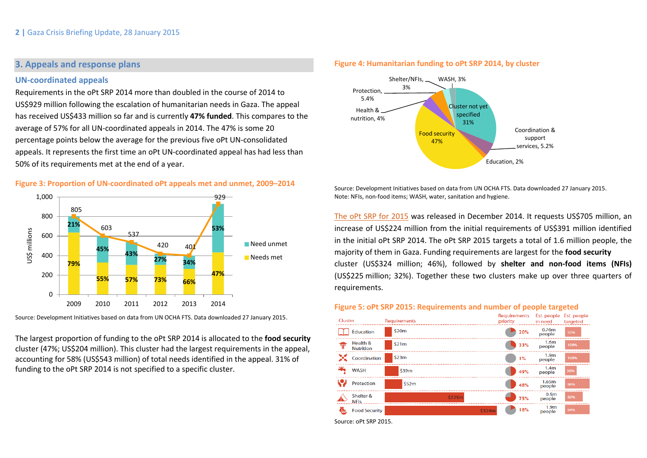# **3. Appeals and response plans**

## **UN-coordinated appeals**

Requirements in the oPt SRP 2014 more than doubled in the course of 2014 to US\$929 million following the escalation of humanitarian needs in Gaza. The appeal has received US\$433 million so far and is currently **47% funded**. This compares to the average of 57% for all UN-coordinated appeals in 2014. The 47% is some 20 percentage points below the average for the previous five oPt UN-consolidated appeals. It represents the first time an oPt UN-coordinated appeal has had less than 50% of its requirements met at the end of a year.

## **Figure 3: Proportion of UN-coordinated oPt appeals met and unmet, 2009–2014**



Source: Development Initiatives based on data from UN OCHA FTS. Data downloaded 27 January 2015.

The largest proportion of funding to the oPt SRP 2014 is allocated to the **food security** cluster (47%; US\$204 million). This cluster had the largest requirements in the appeal, accounting for 58% (US\$543 million) of total needs identified in the appeal. 31% of funding to the oPt SRP 2014 is not specified to a specific cluster.

### **Figure 4: Humanitarian funding to oPt SRP 2014, by cluster**



Source: Development Initiatives based on data from UN OCHA FTS. Data downloaded 27 January 2015. Note: NFIs, non-food items; WASH, water, sanitation and hygiene.

[The oPt SRP for 2015](http://reliefweb.int/report/occupied-palestinian-territory/occupied-palestinian-territory-strategic-response-plan-2015) was released in December 2014. It requests US\$705 million, an increase of US\$224 million from the initial requirements of US\$391 million identified in the initial oPt SRP 2014. The oPt SRP 2015 targets a total of 1.6 million people, the majority of them in Gaza. Funding requirements are largest for the **food security** cluster (US\$324 million; 46%), followed by **shelter and non-food items (NFIs)** (US\$225 million; 32%). Together these two clusters make up over three quarters of requirements.

#### **Figure 5: oPt SRP 2015: Requirements and number of people targeted**

| Cluster                      | Requirements | <b>Requirements</b><br>priority | Est. people<br>in need     | Est. people<br>targeted |
|------------------------------|--------------|---------------------------------|----------------------------|-------------------------|
| <b>Education</b>             | \$20m        | 20%                             | 0.76m<br>people            | 55%                     |
| Health &<br><b>Nutrition</b> | \$21m        | 33%                             | 1.6 <sub>m</sub><br>people | 100%                    |
| Coordination                 | \$23m        | 1%                              | 1.9 <sub>m</sub><br>people | 100%                    |
| <b>WASH</b>                  | \$39m        | 49%                             | 1.4 <sub>m</sub><br>people | 36%                     |
| Protection                   | \$52m        | 48%                             | 1.65m<br>people            | 88%                     |
| Shelter &<br><b>NFIs</b>     | \$225m       | 75%                             | 0.5 <sub>m</sub><br>people | 60%                     |
| <b>Food Security</b>         |              | 18%<br>\$324m                   | 1.9 <sub>m</sub><br>people | 84%                     |

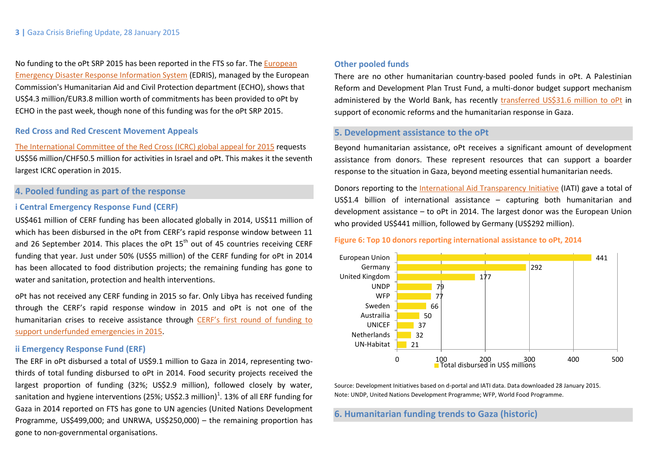No funding to the oPt SRP 2015 has been reported in the FTS so far. Th[e European](https://webgate.ec.europa.eu/hac/)  [Emergency Disaster Response Information System](https://webgate.ec.europa.eu/hac/) (EDRIS), managed by the European Commission's Humanitarian Aid and Civil Protection department (ECHO), shows that US\$4.3 million/EUR3.8 million worth of commitments has been provided to oPt by ECHO in the past week, though none of this funding was for the oPt SRP 2015.

#### **Red Cross and Red Crescent Movement Appeals**

[The International Committee of the Red Cross](https://www.icrc.org/en/document/icrc-emergency-and-headquarters-appeals-key-data-2015#.VMijbGisWfU) (ICRC) global appeal for 2015 requests US\$56 million/CHF50.5 million for activities in Israel and oPt. This makes it the seventh largest ICRC operation in 2015.

# **4. Pooled funding as part of the response**

## **i Central Emergency Response Fund (CERF)**

US\$461 million of CERF funding has been allocated globally in 2014, US\$11 million of which has been disbursed in the oPt from CERF's rapid response window between 11 and 26 September 2014. This places the oPt  $15<sup>th</sup>$  out of 45 countries receiving CERF funding that year. Just under 50% (US\$5 million) of the CERF funding for oPt in 2014 has been allocated to food distribution projects; the remaining funding has gone to water and sanitation, protection and health interventions.

oPt has not received any CERF funding in 2015 so far. Only Libya has received funding through the CERF's rapid response window in 2015 and oPt is not one of the humanitarian crises to receive assistance through [CERF's first round of funding to](http://reliefweb.int/sites/reliefweb.int/files/resources/Central%20Emergency%20Response%20Fund%20press%20release%2023Jan2015%20_0.pdf)  [support underfunded emergencies](http://reliefweb.int/sites/reliefweb.int/files/resources/Central%20Emergency%20Response%20Fund%20press%20release%2023Jan2015%20_0.pdf) in 2015.

## **ii Emergency Response Fund (ERF)**

The ERF in oPt disbursed a total of US\$9.1 million to Gaza in 2014, representing twothirds of total funding disbursed to oPt in 2014. Food security projects received the largest proportion of funding (32%; US\$2.9 million), followed closely by water, sanitation and hygiene interventions (25%; US\$2.3 million)<sup>1</sup>. 13% of all ERF funding for Gaza in 2014 reported on FTS has gone to UN agencies (United Nations Development Programme, US\$499,000; and UNRWA, US\$250,000) – the remaining proportion has gone to non-governmental organisations.

### **Other pooled funds**

There are no other humanitarian country-based pooled funds in oPt. A Palestinian Reform and Development Plan Trust Fund, a multi-donor budget support mechanism administered by the World Bank, has recently [transferred US\\$31.6 million to oPt](http://www.worldbank.org/en/news/press-release/2014/12/24/an-additional-us316-million-in-budget-support-to-the-palestinian-authority) in support of economic reforms and the humanitarian response in Gaza.

## **5. Development assistance to the oPt**

Beyond humanitarian assistance, oPt receives a significant amount of development assistance from donors. These represent resources that can support a boarder response to the situation in Gaza, beyond meeting essential humanitarian needs.

Donors reporting to the [International Aid Transparency Initiative](http://www.aidtransparency.net/) (IATI) gave a total of US\$1.4 billion of international assistance – capturing both humanitarian and development assistance – to oPt in 2014. The largest donor was the European Union who provided US\$441 million, followed by Germany (US\$292 million).

#### **Figure 6: Top 10 donors reporting international assistance to oPt, 2014**



Source: Development Initiatives based on d-portal and IATI data. Data downloaded 28 January 2015. Note: UNDP, United Nations Development Programme; WFP, World Food Programme.

### **6. Humanitarian funding trends to Gaza (historic)**